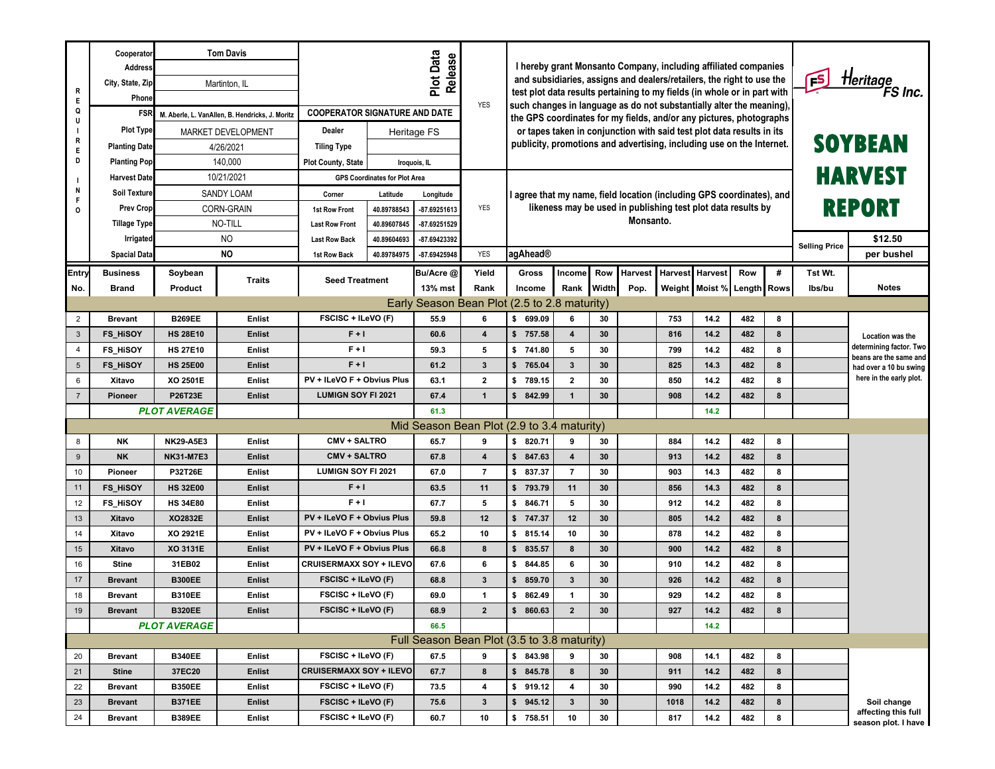| <b>Tom Davis</b><br>Cooperator<br><b>Address</b>                                                                                                                                                                                                                                                                                                                                                          |                                                                                                                                                                                                                                                                                                                                                                              |                                      | Plot Data<br>Release                                                                                                                 |                                                                                                                                        | I hereby grant Monsanto Company, including affiliated companies                                                                                           |                                                                                                                                 |                                                                      |                     |                                                                                         |                                                                                                              |                                                                                  |                                                          |         |                                                   |  |
|-----------------------------------------------------------------------------------------------------------------------------------------------------------------------------------------------------------------------------------------------------------------------------------------------------------------------------------------------------------------------------------------------------------|------------------------------------------------------------------------------------------------------------------------------------------------------------------------------------------------------------------------------------------------------------------------------------------------------------------------------------------------------------------------------|--------------------------------------|--------------------------------------------------------------------------------------------------------------------------------------|----------------------------------------------------------------------------------------------------------------------------------------|-----------------------------------------------------------------------------------------------------------------------------------------------------------|---------------------------------------------------------------------------------------------------------------------------------|----------------------------------------------------------------------|---------------------|-----------------------------------------------------------------------------------------|--------------------------------------------------------------------------------------------------------------|----------------------------------------------------------------------------------|----------------------------------------------------------|---------|---------------------------------------------------|--|
| City, State, Zip<br>Martinton, IL                                                                                                                                                                                                                                                                                                                                                                         |                                                                                                                                                                                                                                                                                                                                                                              |                                      |                                                                                                                                      |                                                                                                                                        | and subsidiaries, assigns and dealers/retailers, the right to use the                                                                                     |                                                                                                                                 | <b>FS</b>                                                            | Heritage<br>FS Inc. |                                                                                         |                                                                                                              |                                                                                  |                                                          |         |                                                   |  |
| Phone                                                                                                                                                                                                                                                                                                                                                                                                     |                                                                                                                                                                                                                                                                                                                                                                              |                                      |                                                                                                                                      | <b>YES</b>                                                                                                                             | test plot data results pertaining to my fields (in whole or in part with<br>such changes in language as do not substantially alter the meaning),          |                                                                                                                                 |                                                                      |                     |                                                                                         |                                                                                                              |                                                                                  |                                                          |         |                                                   |  |
| FSR M. Aberle, L. VanAllen, B. Hendricks, J. Moritz                                                                                                                                                                                                                                                                                                                                                       |                                                                                                                                                                                                                                                                                                                                                                              | <b>COOPERATOR SIGNATURE AND DATE</b> |                                                                                                                                      |                                                                                                                                        | the GPS coordinates for my fields, and/or any pictures, photographs                                                                                       |                                                                                                                                 |                                                                      |                     |                                                                                         |                                                                                                              |                                                                                  |                                                          |         |                                                   |  |
| Plot Type<br>MARKET DEVELOPMENT                                                                                                                                                                                                                                                                                                                                                                           | Dealer                                                                                                                                                                                                                                                                                                                                                                       | Heritage FS                          |                                                                                                                                      |                                                                                                                                        | or tapes taken in conjunction with said test plot data results in its                                                                                     |                                                                                                                                 |                                                                      |                     |                                                                                         |                                                                                                              |                                                                                  |                                                          |         |                                                   |  |
| <b>Planting Date</b><br>4/26/2021                                                                                                                                                                                                                                                                                                                                                                         | <b>Tiling Type</b>                                                                                                                                                                                                                                                                                                                                                           |                                      |                                                                                                                                      |                                                                                                                                        | publicity, promotions and advertising, including use on the Internet.                                                                                     |                                                                                                                                 |                                                                      |                     | <b>SOYBEAN</b>                                                                          |                                                                                                              |                                                                                  |                                                          |         |                                                   |  |
| 140,000<br><b>Planting Pop</b>                                                                                                                                                                                                                                                                                                                                                                            | <b>Plot County, State</b>                                                                                                                                                                                                                                                                                                                                                    |                                      | Iroquois, IL                                                                                                                         |                                                                                                                                        |                                                                                                                                                           |                                                                                                                                 |                                                                      |                     |                                                                                         |                                                                                                              |                                                                                  |                                                          |         |                                                   |  |
| 10/21/2021<br><b>Harvest Date</b>                                                                                                                                                                                                                                                                                                                                                                         |                                                                                                                                                                                                                                                                                                                                                                              | <b>GPS Coordinates for Plot Area</b> |                                                                                                                                      |                                                                                                                                        |                                                                                                                                                           |                                                                                                                                 |                                                                      |                     |                                                                                         | <b>HARVEST</b>                                                                                               |                                                                                  |                                                          |         |                                                   |  |
| <b>Soil Texture</b><br>SANDY LOAM                                                                                                                                                                                                                                                                                                                                                                         | Corner                                                                                                                                                                                                                                                                                                                                                                       | Latitude                             | Longitude                                                                                                                            |                                                                                                                                        | I agree that my name, field location (including GPS coordinates), and                                                                                     |                                                                                                                                 |                                                                      |                     |                                                                                         |                                                                                                              |                                                                                  |                                                          |         |                                                   |  |
| <b>Prev Crop</b><br>CORN-GRAIN                                                                                                                                                                                                                                                                                                                                                                            | 1st Row Front                                                                                                                                                                                                                                                                                                                                                                | 40.89788543                          | -87.69251613                                                                                                                         | <b>YES</b>                                                                                                                             |                                                                                                                                                           | likeness may be used in publishing test plot data results by<br>Monsanto.                                                       |                                                                      |                     |                                                                                         |                                                                                                              |                                                                                  | <b>REPORT</b>                                            |         |                                                   |  |
| NO-TILL<br><b>Tillage Type</b>                                                                                                                                                                                                                                                                                                                                                                            | <b>Last Row Front</b>                                                                                                                                                                                                                                                                                                                                                        | 40.89607845                          | -87.69251529                                                                                                                         |                                                                                                                                        |                                                                                                                                                           |                                                                                                                                 |                                                                      |                     |                                                                                         |                                                                                                              |                                                                                  |                                                          |         |                                                   |  |
| NO<br>Irrigated                                                                                                                                                                                                                                                                                                                                                                                           | <b>Last Row Back</b>                                                                                                                                                                                                                                                                                                                                                         | 40.89604693                          | -87.69423392                                                                                                                         |                                                                                                                                        |                                                                                                                                                           |                                                                                                                                 |                                                                      |                     |                                                                                         |                                                                                                              | <b>Selling Price</b>                                                             | \$12.50                                                  |         |                                                   |  |
| <b>NO</b><br><b>Spacial Data</b>                                                                                                                                                                                                                                                                                                                                                                          | 1st Row Back                                                                                                                                                                                                                                                                                                                                                                 | 40.89784975                          | -87.69425948                                                                                                                         | <b>YES</b>                                                                                                                             |                                                                                                                                                           | agAhead®                                                                                                                        |                                                                      |                     |                                                                                         |                                                                                                              |                                                                                  |                                                          |         | per bushel                                        |  |
| <b>Business</b><br>Soybean                                                                                                                                                                                                                                                                                                                                                                                | <b>Traits</b><br><b>Seed Treatment</b>                                                                                                                                                                                                                                                                                                                                       |                                      | Bu/Acre @                                                                                                                            | Yield                                                                                                                                  | Gross                                                                                                                                                     | Income                                                                                                                          | Row                                                                  | <b>Harvest</b>      | <b>Harvest</b>                                                                          | Harvest                                                                                                      | Row                                                                              | #                                                        | Tst Wt. |                                                   |  |
| <b>Brand</b><br>Product                                                                                                                                                                                                                                                                                                                                                                                   |                                                                                                                                                                                                                                                                                                                                                                              |                                      | 13% mst                                                                                                                              | Rank                                                                                                                                   | Income                                                                                                                                                    | Rank                                                                                                                            | Width                                                                | Pop.                |                                                                                         | Weight   Moist % Length   Rows                                                                               |                                                                                  |                                                          | lbs/bu  | <b>Notes</b>                                      |  |
| Early Season Bean Plot (2.5 to 2.8 maturity)                                                                                                                                                                                                                                                                                                                                                              |                                                                                                                                                                                                                                                                                                                                                                              |                                      |                                                                                                                                      |                                                                                                                                        |                                                                                                                                                           |                                                                                                                                 |                                                                      |                     |                                                                                         |                                                                                                              |                                                                                  |                                                          |         |                                                   |  |
| <b>B269EE</b><br><b>Brevant</b>                                                                                                                                                                                                                                                                                                                                                                           | FSCISC + ILeVO (F)<br>Enlist                                                                                                                                                                                                                                                                                                                                                 |                                      | 55.9                                                                                                                                 | 6                                                                                                                                      | \$699.09                                                                                                                                                  | 6                                                                                                                               | 30                                                                   |                     | 753                                                                                     | 14.2                                                                                                         | 482                                                                              | 8                                                        |         |                                                   |  |
| <b>FS_HISOY</b><br><b>HS 28E10</b>                                                                                                                                                                                                                                                                                                                                                                        | $F + I$<br><b>Enlist</b>                                                                                                                                                                                                                                                                                                                                                     |                                      | 60.6                                                                                                                                 | $\overline{\mathbf{4}}$                                                                                                                | \$757.58                                                                                                                                                  | $\overline{\mathbf{4}}$                                                                                                         | 30                                                                   |                     | 816                                                                                     | 14.2                                                                                                         | 482                                                                              | 8                                                        |         | Location was the                                  |  |
| <b>FS_HISOY</b><br><b>HS 27E10</b>                                                                                                                                                                                                                                                                                                                                                                        | Enlist                                                                                                                                                                                                                                                                                                                                                                       | $F + I$                              |                                                                                                                                      | 5                                                                                                                                      | \$741.80                                                                                                                                                  | 5                                                                                                                               | 30                                                                   |                     | 799                                                                                     | 14.2                                                                                                         | 482                                                                              | 8                                                        |         | determining factor. Two<br>beans are the same and |  |
| FS_HiSOY<br><b>HS 25E00</b>                                                                                                                                                                                                                                                                                                                                                                               | <b>Enlist</b>                                                                                                                                                                                                                                                                                                                                                                | $F + I$                              |                                                                                                                                      | $\mathbf{3}$                                                                                                                           | \$765.04                                                                                                                                                  | $\mathbf{3}$                                                                                                                    | 30                                                                   |                     | 825                                                                                     | 14.3                                                                                                         | 482                                                                              | 8                                                        |         | had over a 10 bu swing                            |  |
| XO 2501E<br>Xitavo                                                                                                                                                                                                                                                                                                                                                                                        | Enlist                                                                                                                                                                                                                                                                                                                                                                       | PV + ILeVO F + Obvius Plus           |                                                                                                                                      | $\mathbf{2}$                                                                                                                           | \$789.15                                                                                                                                                  | $\mathbf{2}$                                                                                                                    | 30                                                                   |                     | 850                                                                                     | 14.2                                                                                                         | 482                                                                              | 8                                                        |         | here in the early plot.                           |  |
| <b>P26T23E</b><br><b>Pioneer</b>                                                                                                                                                                                                                                                                                                                                                                          | <b>Enlist</b>                                                                                                                                                                                                                                                                                                                                                                | <b>LUMIGN SOY FI 2021</b>            |                                                                                                                                      | $\mathbf{1}$                                                                                                                           | \$842.99                                                                                                                                                  | $\mathbf{1}$                                                                                                                    | 30                                                                   |                     | 908                                                                                     | 14.2                                                                                                         | 482                                                                              | 8                                                        |         |                                                   |  |
| <b>PLOT AVERAGE</b>                                                                                                                                                                                                                                                                                                                                                                                       |                                                                                                                                                                                                                                                                                                                                                                              |                                      | 61.3                                                                                                                                 |                                                                                                                                        |                                                                                                                                                           |                                                                                                                                 |                                                                      |                     |                                                                                         | 14.2                                                                                                         |                                                                                  |                                                          |         |                                                   |  |
|                                                                                                                                                                                                                                                                                                                                                                                                           |                                                                                                                                                                                                                                                                                                                                                                              |                                      | Mid Season Bean Plot (2.9 to 3.4 maturity)                                                                                           |                                                                                                                                        |                                                                                                                                                           |                                                                                                                                 |                                                                      |                     |                                                                                         |                                                                                                              |                                                                                  |                                                          |         |                                                   |  |
| <b>NK</b><br><b>NK29-A5E3</b>                                                                                                                                                                                                                                                                                                                                                                             | Enlist                                                                                                                                                                                                                                                                                                                                                                       | <b>CMV + SALTRO</b>                  |                                                                                                                                      |                                                                                                                                        | \$820.71                                                                                                                                                  | 9                                                                                                                               | 30                                                                   |                     |                                                                                         | 14.2                                                                                                         | 482                                                                              | 8                                                        |         |                                                   |  |
|                                                                                                                                                                                                                                                                                                                                                                                                           |                                                                                                                                                                                                                                                                                                                                                                              | <b>CMV + SALTRO</b>                  |                                                                                                                                      |                                                                                                                                        |                                                                                                                                                           |                                                                                                                                 |                                                                      |                     |                                                                                         |                                                                                                              |                                                                                  |                                                          |         |                                                   |  |
|                                                                                                                                                                                                                                                                                                                                                                                                           |                                                                                                                                                                                                                                                                                                                                                                              | <b>LUMIGN SOY FI 2021</b>            |                                                                                                                                      |                                                                                                                                        |                                                                                                                                                           |                                                                                                                                 |                                                                      |                     |                                                                                         |                                                                                                              |                                                                                  |                                                          |         |                                                   |  |
|                                                                                                                                                                                                                                                                                                                                                                                                           |                                                                                                                                                                                                                                                                                                                                                                              | $F + I$                              |                                                                                                                                      |                                                                                                                                        |                                                                                                                                                           |                                                                                                                                 |                                                                      |                     |                                                                                         |                                                                                                              |                                                                                  |                                                          |         |                                                   |  |
|                                                                                                                                                                                                                                                                                                                                                                                                           |                                                                                                                                                                                                                                                                                                                                                                              | $F + I$                              |                                                                                                                                      |                                                                                                                                        |                                                                                                                                                           |                                                                                                                                 |                                                                      |                     |                                                                                         |                                                                                                              |                                                                                  |                                                          |         |                                                   |  |
|                                                                                                                                                                                                                                                                                                                                                                                                           |                                                                                                                                                                                                                                                                                                                                                                              |                                      |                                                                                                                                      |                                                                                                                                        |                                                                                                                                                           |                                                                                                                                 |                                                                      |                     |                                                                                         |                                                                                                              |                                                                                  |                                                          |         |                                                   |  |
|                                                                                                                                                                                                                                                                                                                                                                                                           |                                                                                                                                                                                                                                                                                                                                                                              | PV + ILeVO F + Obvius Plus           |                                                                                                                                      |                                                                                                                                        |                                                                                                                                                           |                                                                                                                                 |                                                                      |                     |                                                                                         |                                                                                                              |                                                                                  |                                                          |         |                                                   |  |
|                                                                                                                                                                                                                                                                                                                                                                                                           |                                                                                                                                                                                                                                                                                                                                                                              |                                      |                                                                                                                                      |                                                                                                                                        |                                                                                                                                                           |                                                                                                                                 |                                                                      |                     |                                                                                         |                                                                                                              |                                                                                  |                                                          |         |                                                   |  |
|                                                                                                                                                                                                                                                                                                                                                                                                           |                                                                                                                                                                                                                                                                                                                                                                              |                                      |                                                                                                                                      |                                                                                                                                        |                                                                                                                                                           |                                                                                                                                 |                                                                      |                     |                                                                                         |                                                                                                              |                                                                                  |                                                          |         |                                                   |  |
|                                                                                                                                                                                                                                                                                                                                                                                                           |                                                                                                                                                                                                                                                                                                                                                                              |                                      |                                                                                                                                      |                                                                                                                                        |                                                                                                                                                           |                                                                                                                                 |                                                                      |                     |                                                                                         |                                                                                                              |                                                                                  |                                                          |         |                                                   |  |
|                                                                                                                                                                                                                                                                                                                                                                                                           |                                                                                                                                                                                                                                                                                                                                                                              |                                      |                                                                                                                                      |                                                                                                                                        |                                                                                                                                                           |                                                                                                                                 |                                                                      |                     |                                                                                         |                                                                                                              |                                                                                  |                                                          |         |                                                   |  |
|                                                                                                                                                                                                                                                                                                                                                                                                           |                                                                                                                                                                                                                                                                                                                                                                              |                                      |                                                                                                                                      |                                                                                                                                        |                                                                                                                                                           |                                                                                                                                 |                                                                      |                     |                                                                                         |                                                                                                              |                                                                                  |                                                          |         |                                                   |  |
| Full Season Bean Plot (3.5 to 3.8 maturity)                                                                                                                                                                                                                                                                                                                                                               |                                                                                                                                                                                                                                                                                                                                                                              |                                      |                                                                                                                                      |                                                                                                                                        |                                                                                                                                                           |                                                                                                                                 |                                                                      |                     |                                                                                         |                                                                                                              |                                                                                  |                                                          |         |                                                   |  |
|                                                                                                                                                                                                                                                                                                                                                                                                           |                                                                                                                                                                                                                                                                                                                                                                              |                                      |                                                                                                                                      |                                                                                                                                        |                                                                                                                                                           |                                                                                                                                 |                                                                      |                     |                                                                                         |                                                                                                              |                                                                                  |                                                          |         |                                                   |  |
|                                                                                                                                                                                                                                                                                                                                                                                                           |                                                                                                                                                                                                                                                                                                                                                                              | <b>CRUISERMAXX SOY + ILEVO</b>       |                                                                                                                                      | 8                                                                                                                                      |                                                                                                                                                           | 8                                                                                                                               | 30                                                                   |                     | 911                                                                                     |                                                                                                              | 482                                                                              | 8                                                        |         |                                                   |  |
| <b>B350EE</b><br><b>Brevant</b>                                                                                                                                                                                                                                                                                                                                                                           | <b>Enlist</b>                                                                                                                                                                                                                                                                                                                                                                | FSCISC + ILeVO (F)                   |                                                                                                                                      | 4                                                                                                                                      | \$919.12                                                                                                                                                  | 4                                                                                                                               | 30                                                                   |                     | 990                                                                                     | 14.2                                                                                                         | 482                                                                              | 8                                                        |         |                                                   |  |
| <b>B371EE</b><br><b>Brevant</b>                                                                                                                                                                                                                                                                                                                                                                           | <b>Enlist</b>                                                                                                                                                                                                                                                                                                                                                                | FSCISC + ILeVO (F)                   |                                                                                                                                      | $\mathbf{3}$                                                                                                                           | \$945.12                                                                                                                                                  | $\mathbf{3}$                                                                                                                    | 30                                                                   |                     | 1018                                                                                    | 14.2                                                                                                         | 482                                                                              | 8                                                        |         | Soil change                                       |  |
| <b>B389EE</b><br><b>Brevant</b>                                                                                                                                                                                                                                                                                                                                                                           | FSCISC + ILeVO (F)<br>Enlist                                                                                                                                                                                                                                                                                                                                                 |                                      | 60.7                                                                                                                                 | 10                                                                                                                                     | \$758.51                                                                                                                                                  | 10                                                                                                                              | 30                                                                   |                     | 817                                                                                     | 14.2                                                                                                         | 482                                                                              | 8                                                        |         | affecting this full<br>season plot. I have        |  |
| <b>NK</b><br><b>NK31-M7E3</b><br><b>P32T26E</b><br>Pioneer<br>FS_HiSOY<br><b>HS 32E00</b><br>FS_HISOY<br><b>HS 34E80</b><br>XO2832E<br>Xitavo<br>XO 2921E<br>Xitavo<br>XO 3131E<br>Xitavo<br>31EB02<br>Stine<br><b>B300EE</b><br><b>Brevant</b><br><b>B310EE</b><br><b>Brevant</b><br><b>B320EE</b><br><b>Brevant</b><br><b>PLOT AVERAGE</b><br><b>B340EE</b><br><b>Brevant</b><br>37EC20<br><b>Stine</b> | <b>Enlist</b><br>Enlist<br><b>Enlist</b><br>Enlist<br>PV + ILeVO F + Obvius Plus<br><b>Enlist</b><br>Enlist<br>PV + ILeVO F + Obvius Plus<br><b>Enlist</b><br><b>CRUISERMAXX SOY + ILEVO</b><br>Enlist<br>FSCISC + ILeVO (F)<br><b>Enlist</b><br>FSCISC + ILeVO (F)<br>Enlist<br>FSCISC + ILeVO (F)<br><b>Enlist</b><br>FSCISC + ILeVO (F)<br><b>Enlist</b><br><b>Enlist</b> |                                      | 65.7<br>67.8<br>67.0<br>63.5<br>67.7<br>59.8<br>65.2<br>66.8<br>67.6<br>68.8<br>69.0<br>68.9<br>66.5<br>67.5<br>67.7<br>73.5<br>75.6 | 9<br>$\overline{\mathbf{4}}$<br>$\overline{7}$<br>11<br>5<br>12<br>10<br>8<br>6<br>$\mathbf{3}$<br>$\mathbf{1}$<br>$\overline{2}$<br>9 | \$847.63<br>\$ 837.37<br>\$793.79<br>\$846.71<br>\$747.37<br>\$815.14<br>\$835.57<br>\$844.85<br>\$859.70<br>\$862.49<br>\$860.63<br>\$843.98<br>\$845.78 | $\overline{\mathbf{4}}$<br>$\overline{7}$<br>11<br>5<br>12<br>10<br>8<br>6<br>$\mathbf{3}$<br>$\mathbf{1}$<br>$\mathbf{2}$<br>9 | 30<br>30<br>30<br>30<br>30<br>30<br>30<br>30<br>30<br>30<br>30<br>30 |                     | 884<br>913<br>903<br>856<br>912<br>805<br>878<br>900<br>910<br>926<br>929<br>927<br>908 | 14.2<br>14.3<br>14.3<br>14.2<br>14.2<br>14.2<br>14.2<br>14.2<br>14.2<br>14.2<br>14.2<br>14.2<br>14.1<br>14.2 | 482<br>482<br>482<br>482<br>482<br>482<br>482<br>482<br>482<br>482<br>482<br>482 | 8<br>8<br>8<br>8<br>8<br>8<br>8<br>8<br>8<br>8<br>8<br>8 |         |                                                   |  |